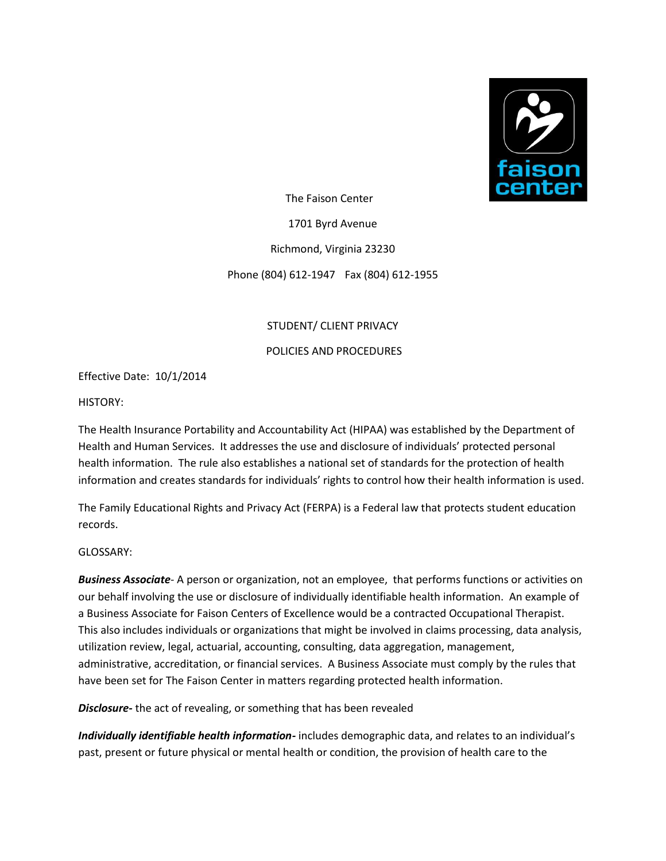

The Faison Center

1701 Byrd Avenue

Richmond, Virginia 23230

Phone (804) 612-1947 Fax (804) 612-1955

# STUDENT/ CLIENT PRIVACY

### POLICIES AND PROCEDURES

Effective Date: 10/1/2014

HISTORY:

The Health Insurance Portability and Accountability Act (HIPAA) was established by the Department of Health and Human Services. It addresses the use and disclosure of individuals' protected personal health information. The rule also establishes a national set of standards for the protection of health information and creates standards for individuals' rights to control how their health information is used.

The Family Educational Rights and Privacy Act (FERPA) is a Federal law that protects student education records.

GLOSSARY:

*Business Associate*- A person or organization, not an employee, that performs functions or activities on our behalf involving the use or disclosure of individually identifiable health information. An example of a Business Associate for Faison Centers of Excellence would be a contracted Occupational Therapist. This also includes individuals or organizations that might be involved in claims processing, data analysis, utilization review, legal, actuarial, accounting, consulting, data aggregation, management, administrative, accreditation, or financial services. A Business Associate must comply by the rules that have been set for The Faison Center in matters regarding protected health information.

*Disclosure-* the act of revealing, or something that has been revealed

*Individually identifiable health information-* includes demographic data, and relates to an individual's past, present or future physical or mental health or condition, the provision of health care to the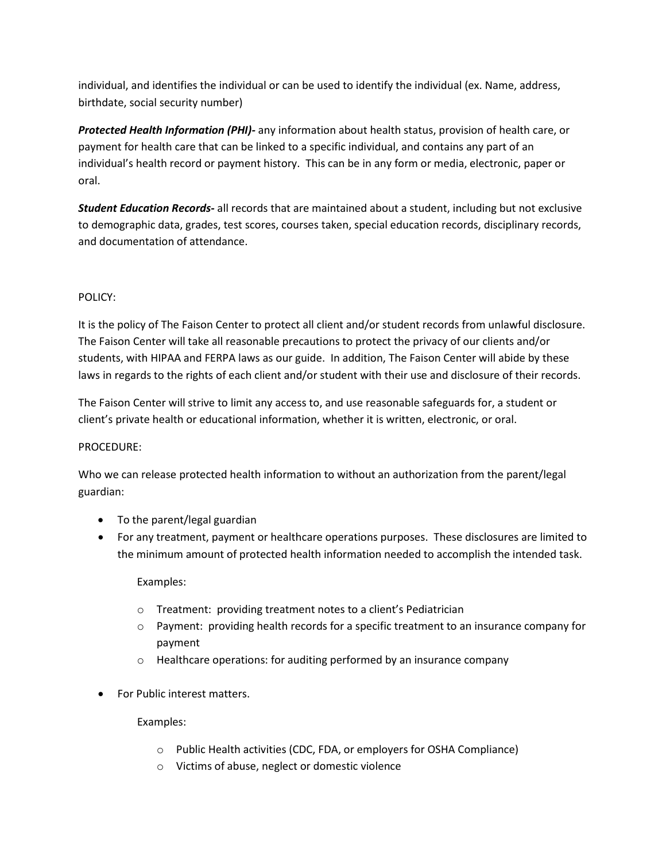individual, and identifies the individual or can be used to identify the individual (ex. Name, address, birthdate, social security number)

*Protected Health Information (PHI)-* any information about health status, provision of health care, or payment for health care that can be linked to a specific individual, and contains any part of an individual's health record or payment history. This can be in any form or media, electronic, paper or oral.

*Student Education Records-* all records that are maintained about a student, including but not exclusive to demographic data, grades, test scores, courses taken, special education records, disciplinary records, and documentation of attendance.

# POLICY:

It is the policy of The Faison Center to protect all client and/or student records from unlawful disclosure. The Faison Center will take all reasonable precautions to protect the privacy of our clients and/or students, with HIPAA and FERPA laws as our guide. In addition, The Faison Center will abide by these laws in regards to the rights of each client and/or student with their use and disclosure of their records.

The Faison Center will strive to limit any access to, and use reasonable safeguards for, a student or client's private health or educational information, whether it is written, electronic, or oral.

# PROCEDURE:

Who we can release protected health information to without an authorization from the parent/legal guardian:

- To the parent/legal guardian
- For any treatment, payment or healthcare operations purposes. These disclosures are limited to the minimum amount of protected health information needed to accomplish the intended task.

# Examples:

- o Treatment: providing treatment notes to a client's Pediatrician
- o Payment: providing health records for a specific treatment to an insurance company for payment
- $\circ$  Healthcare operations: for auditing performed by an insurance company
- For Public interest matters.

# Examples:

- o Public Health activities (CDC, FDA, or employers for OSHA Compliance)
- o Victims of abuse, neglect or domestic violence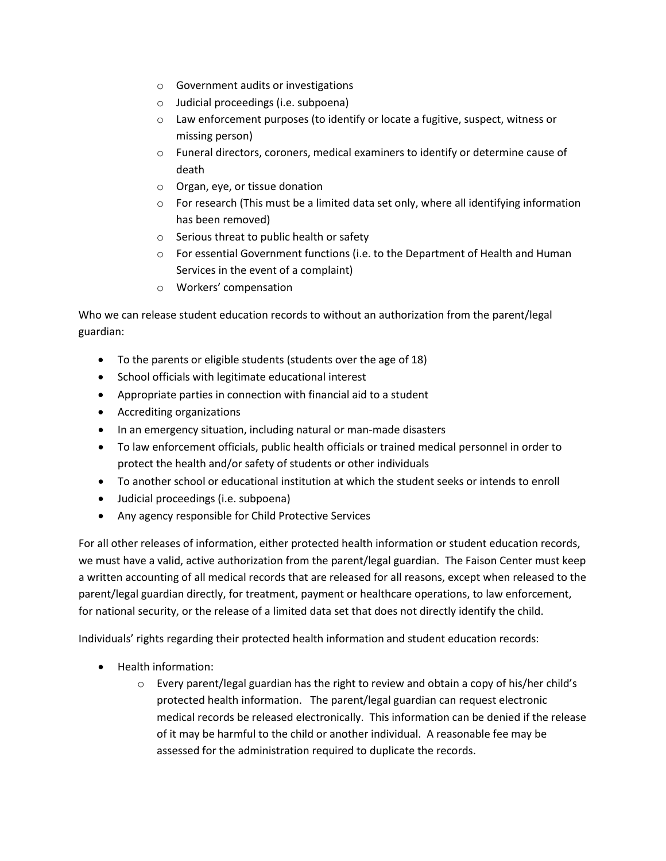- o Government audits or investigations
- o Judicial proceedings (i.e. subpoena)
- o Law enforcement purposes (to identify or locate a fugitive, suspect, witness or missing person)
- $\circ$  Funeral directors, coroners, medical examiners to identify or determine cause of death
- o Organ, eye, or tissue donation
- $\circ$  For research (This must be a limited data set only, where all identifying information has been removed)
- o Serious threat to public health or safety
- $\circ$  For essential Government functions (i.e. to the Department of Health and Human Services in the event of a complaint)
- o Workers' compensation

Who we can release student education records to without an authorization from the parent/legal guardian:

- To the parents or eligible students (students over the age of 18)
- School officials with legitimate educational interest
- Appropriate parties in connection with financial aid to a student
- Accrediting organizations
- In an emergency situation, including natural or man-made disasters
- To law enforcement officials, public health officials or trained medical personnel in order to protect the health and/or safety of students or other individuals
- To another school or educational institution at which the student seeks or intends to enroll
- Judicial proceedings (i.e. subpoena)
- Any agency responsible for Child Protective Services

For all other releases of information, either protected health information or student education records, we must have a valid, active authorization from the parent/legal guardian. The Faison Center must keep a written accounting of all medical records that are released for all reasons, except when released to the parent/legal guardian directly, for treatment, payment or healthcare operations, to law enforcement, for national security, or the release of a limited data set that does not directly identify the child.

Individuals' rights regarding their protected health information and student education records:

- Health information:
	- $\circ$  Every parent/legal guardian has the right to review and obtain a copy of his/her child's protected health information. The parent/legal guardian can request electronic medical records be released electronically. This information can be denied if the release of it may be harmful to the child or another individual. A reasonable fee may be assessed for the administration required to duplicate the records.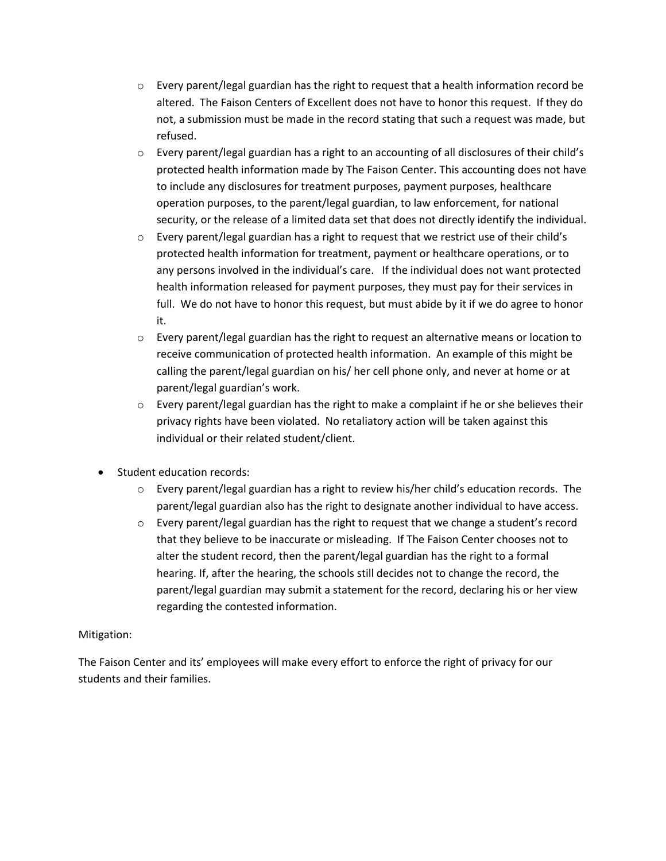- $\circ$  Every parent/legal guardian has the right to request that a health information record be altered. The Faison Centers of Excellent does not have to honor this request. If they do not, a submission must be made in the record stating that such a request was made, but refused.
- $\circ$  Every parent/legal guardian has a right to an accounting of all disclosures of their child's protected health information made by The Faison Center. This accounting does not have to include any disclosures for treatment purposes, payment purposes, healthcare operation purposes, to the parent/legal guardian, to law enforcement, for national security, or the release of a limited data set that does not directly identify the individual.
- o Every parent/legal guardian has a right to request that we restrict use of their child's protected health information for treatment, payment or healthcare operations, or to any persons involved in the individual's care. If the individual does not want protected health information released for payment purposes, they must pay for their services in full. We do not have to honor this request, but must abide by it if we do agree to honor it.
- $\circ$  Every parent/legal guardian has the right to request an alternative means or location to receive communication of protected health information. An example of this might be calling the parent/legal guardian on his/ her cell phone only, and never at home or at parent/legal guardian's work.
- $\circ$  Every parent/legal guardian has the right to make a complaint if he or she believes their privacy rights have been violated. No retaliatory action will be taken against this individual or their related student/client.
- Student education records:
	- o Every parent/legal guardian has a right to review his/her child's education records. The parent/legal guardian also has the right to designate another individual to have access.
	- o Every parent/legal guardian has the right to request that we change a student's record that they believe to be inaccurate or misleading. If The Faison Center chooses not to alter the student record, then the parent/legal guardian has the right to a formal hearing. If, after the hearing, the schools still decides not to change the record, the parent/legal guardian may submit a statement for the record, declaring his or her view regarding the contested information.

# Mitigation:

The Faison Center and its' employees will make every effort to enforce the right of privacy for our students and their families.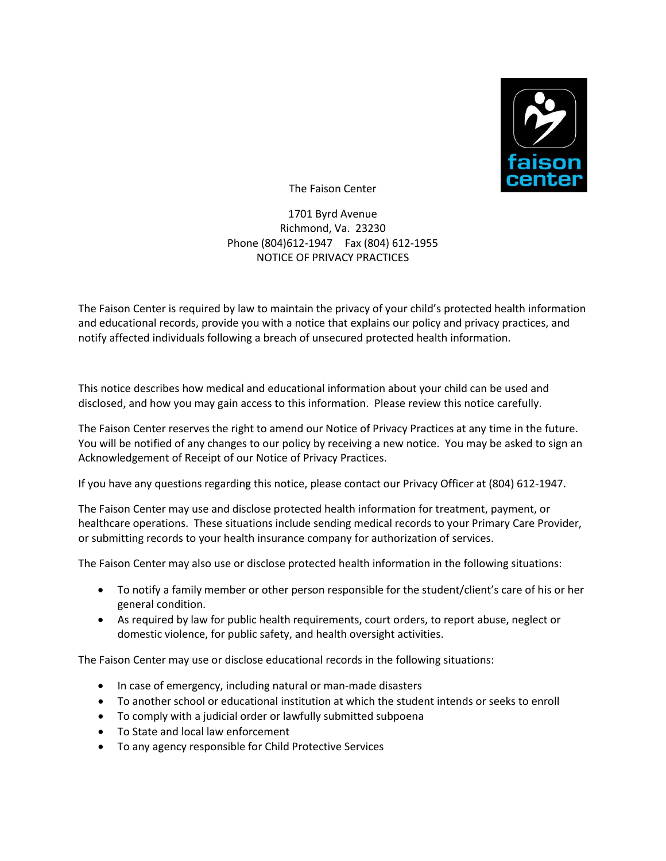

The Faison Center

1701 Byrd Avenue Richmond, Va. 23230 Phone (804)612-1947 Fax (804) 612-1955 NOTICE OF PRIVACY PRACTICES

The Faison Center is required by law to maintain the privacy of your child's protected health information and educational records, provide you with a notice that explains our policy and privacy practices, and notify affected individuals following a breach of unsecured protected health information.

This notice describes how medical and educational information about your child can be used and disclosed, and how you may gain access to this information. Please review this notice carefully.

The Faison Center reserves the right to amend our Notice of Privacy Practices at any time in the future. You will be notified of any changes to our policy by receiving a new notice. You may be asked to sign an Acknowledgement of Receipt of our Notice of Privacy Practices.

If you have any questions regarding this notice, please contact our Privacy Officer at (804) 612-1947.

The Faison Center may use and disclose protected health information for treatment, payment, or healthcare operations. These situations include sending medical records to your Primary Care Provider, or submitting records to your health insurance company for authorization of services.

The Faison Center may also use or disclose protected health information in the following situations:

- To notify a family member or other person responsible for the student/client's care of his or her general condition.
- As required by law for public health requirements, court orders, to report abuse, neglect or domestic violence, for public safety, and health oversight activities.

The Faison Center may use or disclose educational records in the following situations:

- In case of emergency, including natural or man-made disasters
- To another school or educational institution at which the student intends or seeks to enroll
- To comply with a judicial order or lawfully submitted subpoena
- To State and local law enforcement
- To any agency responsible for Child Protective Services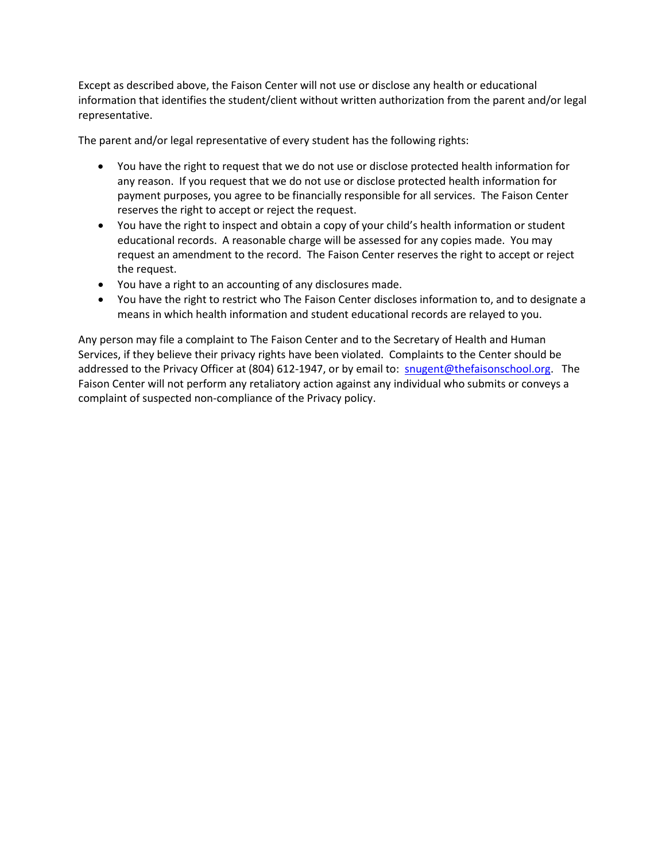Except as described above, the Faison Center will not use or disclose any health or educational information that identifies the student/client without written authorization from the parent and/or legal representative.

The parent and/or legal representative of every student has the following rights:

- You have the right to request that we do not use or disclose protected health information for any reason. If you request that we do not use or disclose protected health information for payment purposes, you agree to be financially responsible for all services. The Faison Center reserves the right to accept or reject the request.
- You have the right to inspect and obtain a copy of your child's health information or student educational records. A reasonable charge will be assessed for any copies made. You may request an amendment to the record. The Faison Center reserves the right to accept or reject the request.
- You have a right to an accounting of any disclosures made.
- You have the right to restrict who The Faison Center discloses information to, and to designate a means in which health information and student educational records are relayed to you.

Any person may file a complaint to The Faison Center and to the Secretary of Health and Human Services, if they believe their privacy rights have been violated. Complaints to the Center should be addressed to the Privacy Officer at (804) 612-1947, or by email to: [snugent@thefaisonschool.org.](mailto:snugent@thefaisonschool.org) The Faison Center will not perform any retaliatory action against any individual who submits or conveys a complaint of suspected non-compliance of the Privacy policy.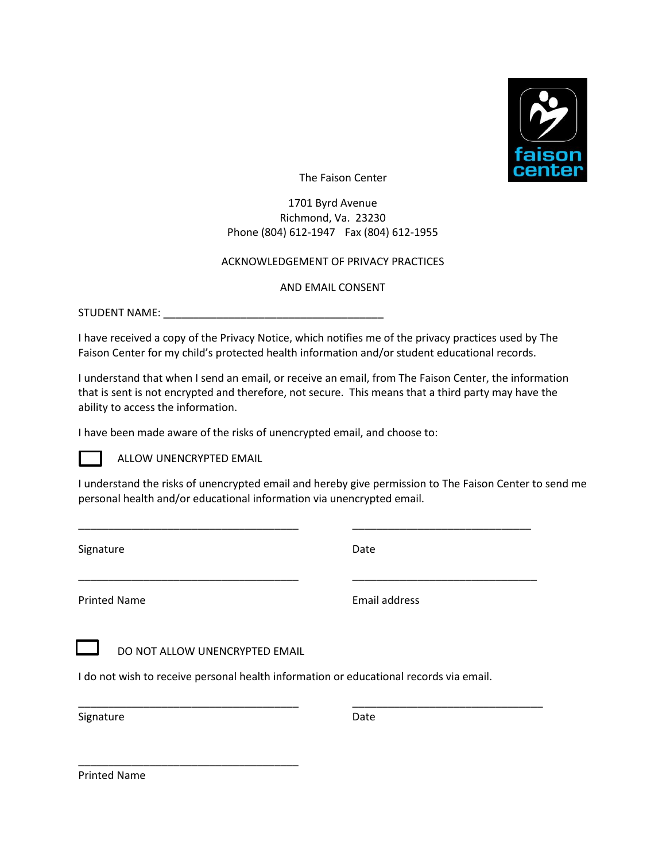

The Faison Center

1701 Byrd Avenue Richmond, Va. 23230 Phone (804) 612-1947 Fax (804) 612-1955

### ACKNOWLEDGEMENT OF PRIVACY PRACTICES

### AND EMAIL CONSENT

STUDENT NAME:

I have received a copy of the Privacy Notice, which notifies me of the privacy practices used by The Faison Center for my child's protected health information and/or student educational records.

I understand that when I send an email, or receive an email, from The Faison Center, the information that is sent is not encrypted and therefore, not secure. This means that a third party may have the ability to access the information.

I have been made aware of the risks of unencrypted email, and choose to:

ALLOW UNENCRYPTED EMAIL

I understand the risks of unencrypted email and hereby give permission to The Faison Center to send me personal health and/or educational information via unencrypted email.

\_\_\_\_\_\_\_\_\_\_\_\_\_\_\_\_\_\_\_\_\_\_\_\_\_\_\_\_\_\_\_\_\_\_\_\_\_ \_\_\_\_\_\_\_\_\_\_\_\_\_\_\_\_\_\_\_\_\_\_\_\_\_\_\_\_\_\_

\_\_\_\_\_\_\_\_\_\_\_\_\_\_\_\_\_\_\_\_\_\_\_\_\_\_\_\_\_\_\_\_\_\_\_\_\_ \_\_\_\_\_\_\_\_\_\_\_\_\_\_\_\_\_\_\_\_\_\_\_\_\_\_\_\_\_\_\_

\_\_\_\_\_\_\_\_\_\_\_\_\_\_\_\_\_\_\_\_\_\_\_\_\_\_\_\_\_\_\_\_\_\_\_\_\_ \_\_\_\_\_\_\_\_\_\_\_\_\_\_\_\_\_\_\_\_\_\_\_\_\_\_\_\_\_\_\_\_

Signature Date Date

Printed Name **Email address** 

DO NOT ALLOW UNENCRYPTED EMAIL

\_\_\_\_\_\_\_\_\_\_\_\_\_\_\_\_\_\_\_\_\_\_\_\_\_\_\_\_\_\_\_\_\_\_\_\_\_

I do not wish to receive personal health information or educational records via email.

Signature Date Date

Printed Name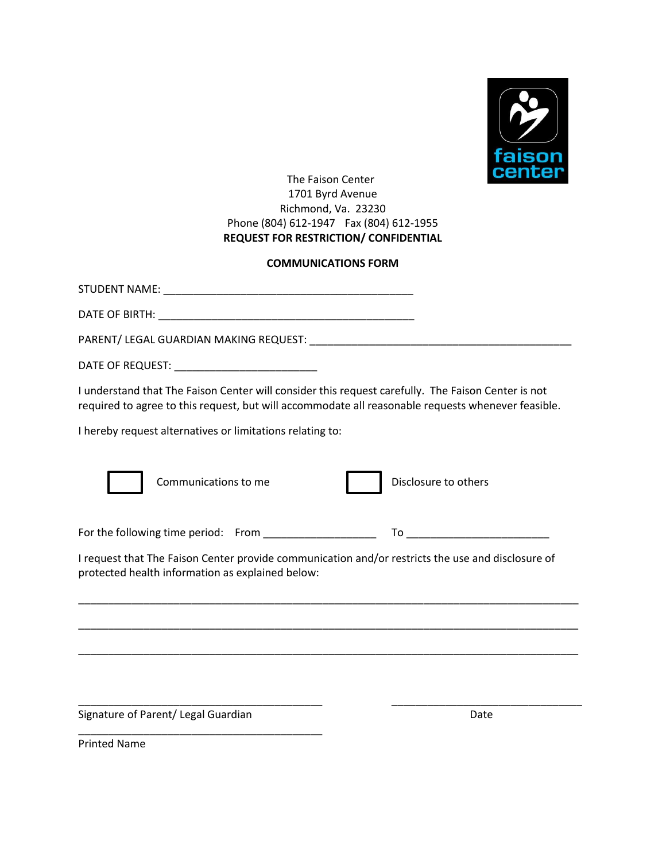

# The Faison Center 1701 Byrd Avenue Richmond, Va. 23230 Phone (804) 612-1947 Fax (804) 612-1955 **REQUEST FOR RESTRICTION/ CONFIDENTIAL**

# **COMMUNICATIONS FORM**

| I understand that The Faison Center will consider this request carefully. The Faison Center is not<br>required to agree to this request, but will accommodate all reasonable requests whenever feasible. |  |  |  |
|----------------------------------------------------------------------------------------------------------------------------------------------------------------------------------------------------------|--|--|--|
| I hereby request alternatives or limitations relating to:                                                                                                                                                |  |  |  |
| Communications to me<br>Disclosure to others                                                                                                                                                             |  |  |  |
| For the following time period: From ______________________                                                                                                                                               |  |  |  |
| I request that The Faison Center provide communication and/or restricts the use and disclosure of<br>protected health information as explained below:                                                    |  |  |  |
|                                                                                                                                                                                                          |  |  |  |
|                                                                                                                                                                                                          |  |  |  |

\_\_\_\_\_\_\_\_\_\_\_\_\_\_\_\_\_\_\_\_\_\_\_\_\_\_\_\_\_\_\_\_\_\_\_\_\_\_\_\_\_ \_\_\_\_\_\_\_\_\_\_\_\_\_\_\_\_\_\_\_\_\_\_\_\_\_\_\_\_\_\_\_\_

**Signature of Parent/ Legal Guardian Date Construction Construction Date** 

\_\_\_\_\_\_\_\_\_\_\_\_\_\_\_\_\_\_\_\_\_\_\_\_\_\_\_\_\_\_\_\_\_\_\_\_\_\_\_\_\_

Printed Name